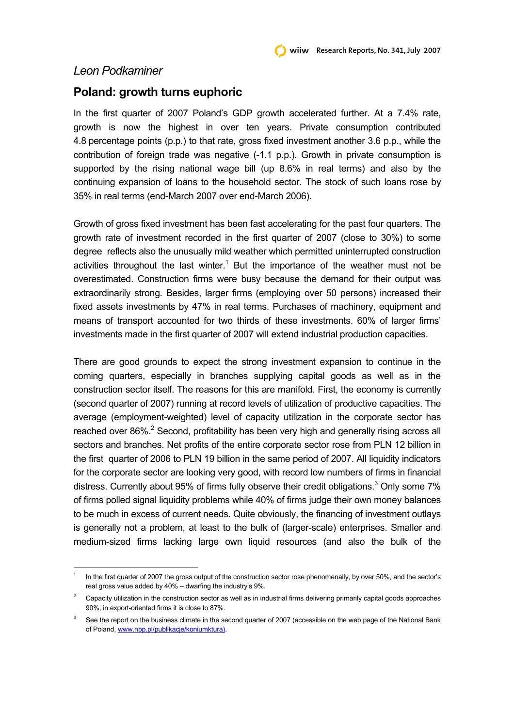## *Leon Podkaminer*

l

## **Poland: growth turns euphoric**

In the first quarter of 2007 Poland's GDP growth accelerated further. At a 7.4% rate, growth is now the highest in over ten years. Private consumption contributed 4.8 percentage points (p.p.) to that rate, gross fixed investment another 3.6 p.p., while the contribution of foreign trade was negative (-1.1 p.p.). Growth in private consumption is supported by the rising national wage bill (up 8.6% in real terms) and also by the continuing expansion of loans to the household sector. The stock of such loans rose by 35% in real terms (end-March 2007 over end-March 2006).

Growth of gross fixed investment has been fast accelerating for the past four quarters. The growth rate of investment recorded in the first quarter of 2007 (close to 30%) to some degree reflects also the unusually mild weather which permitted uninterrupted construction activities throughout the last winter.<sup>1</sup> But the importance of the weather must not be overestimated. Construction firms were busy because the demand for their output was extraordinarily strong. Besides, larger firms (employing over 50 persons) increased their fixed assets investments by 47% in real terms. Purchases of machinery, equipment and means of transport accounted for two thirds of these investments. 60% of larger firms' investments made in the first quarter of 2007 will extend industrial production capacities.

There are good grounds to expect the strong investment expansion to continue in the coming quarters, especially in branches supplying capital goods as well as in the construction sector itself. The reasons for this are manifold. First, the economy is currently (second quarter of 2007) running at record levels of utilization of productive capacities. The average (employment-weighted) level of capacity utilization in the corporate sector has reached over 86%. $2$  Second, profitability has been very high and generally rising across all sectors and branches. Net profits of the entire corporate sector rose from PLN 12 billion in the first quarter of 2006 to PLN 19 billion in the same period of 2007. All liquidity indicators for the corporate sector are looking very good, with record low numbers of firms in financial distress. Currently about 95% of firms fully observe their credit obligations.<sup>3</sup> Only some 7% of firms polled signal liquidity problems while 40% of firms judge their own money balances to be much in excess of current needs. Quite obviously, the financing of investment outlays is generally not a problem, at least to the bulk of (larger-scale) enterprises. Smaller and medium-sized firms lacking large own liquid resources (and also the bulk of the

<sup>1</sup> In the first quarter of 2007 the gross output of the construction sector rose phenomenally, by over 50%, and the sector's real gross value added by 40% – dwarfing the industry's 9%.

<sup>&</sup>lt;sup>2</sup> Capacity utilization in the construction sector as well as in industrial firms delivering primarily capital goods approaches 90%, in export-oriented firms it is close to 87%.

 $3\quad$  See the report on the business climate in the second quarter of 2007 (accessible on the web page of the National Bank of Poland, www.nbp.pl/publikacje/koniumktura).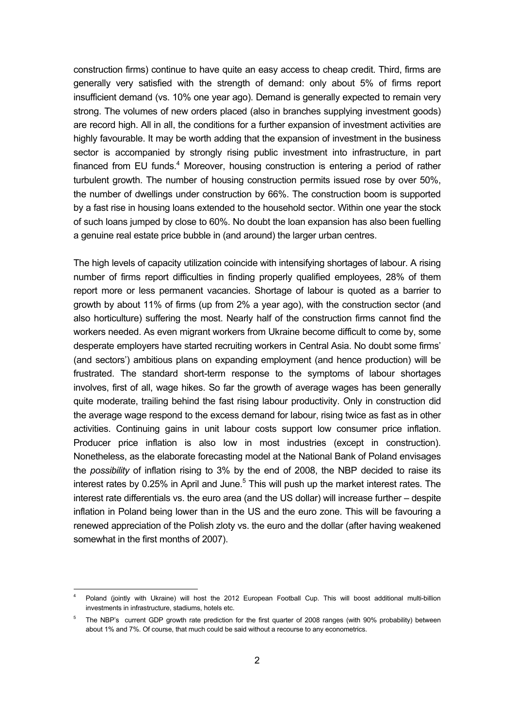construction firms) continue to have quite an easy access to cheap credit. Third, firms are generally very satisfied with the strength of demand: only about 5% of firms report insufficient demand (vs. 10% one year ago). Demand is generally expected to remain very strong. The volumes of new orders placed (also in branches supplying investment goods) are record high. All in all, the conditions for a further expansion of investment activities are highly favourable. It may be worth adding that the expansion of investment in the business sector is accompanied by strongly rising public investment into infrastructure, in part financed from EU funds.<sup>4</sup> Moreover, housing construction is entering a period of rather turbulent growth. The number of housing construction permits issued rose by over 50%, the number of dwellings under construction by 66%. The construction boom is supported by a fast rise in housing loans extended to the household sector. Within one year the stock of such loans jumped by close to 60%. No doubt the loan expansion has also been fuelling a genuine real estate price bubble in (and around) the larger urban centres.

The high levels of capacity utilization coincide with intensifying shortages of labour. A rising number of firms report difficulties in finding properly qualified employees, 28% of them report more or less permanent vacancies. Shortage of labour is quoted as a barrier to growth by about 11% of firms (up from 2% a year ago), with the construction sector (and also horticulture) suffering the most. Nearly half of the construction firms cannot find the workers needed. As even migrant workers from Ukraine become difficult to come by, some desperate employers have started recruiting workers in Central Asia. No doubt some firms' (and sectors') ambitious plans on expanding employment (and hence production) will be frustrated. The standard short-term response to the symptoms of labour shortages involves, first of all, wage hikes. So far the growth of average wages has been generally quite moderate, trailing behind the fast rising labour productivity. Only in construction did the average wage respond to the excess demand for labour, rising twice as fast as in other activities. Continuing gains in unit labour costs support low consumer price inflation. Producer price inflation is also low in most industries (except in construction). Nonetheless, as the elaborate forecasting model at the National Bank of Poland envisages the *possibility* of inflation rising to 3% by the end of 2008, the NBP decided to raise its interest rates by 0.25% in April and June.<sup>5</sup> This will push up the market interest rates. The interest rate differentials vs. the euro area (and the US dollar) will increase further – despite inflation in Poland being lower than in the US and the euro zone. This will be favouring a renewed appreciation of the Polish zloty vs. the euro and the dollar (after having weakened somewhat in the first months of 2007).

l

<sup>4</sup> Poland (jointly with Ukraine) will host the 2012 European Football Cup. This will boost additional multi-billion investments in infrastructure, stadiums, hotels etc.

<sup>5</sup> The NBP's current GDP growth rate prediction for the first quarter of 2008 ranges (with 90% probability) between about 1% and 7%. Of course, that much could be said without a recourse to any econometrics.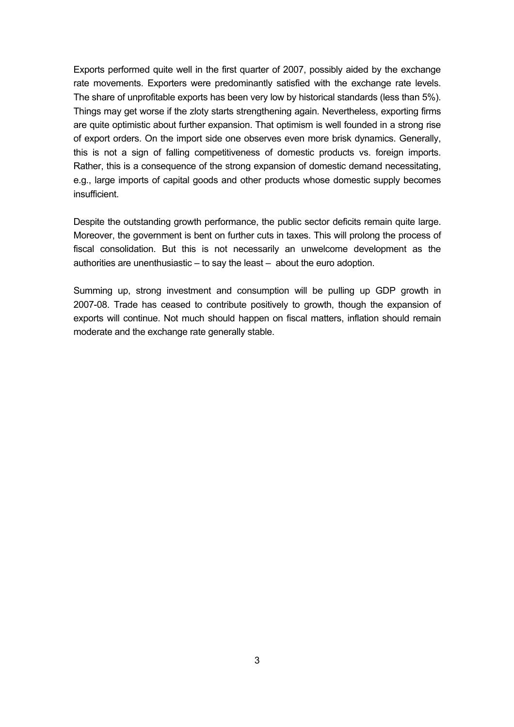Exports performed quite well in the first quarter of 2007, possibly aided by the exchange rate movements. Exporters were predominantly satisfied with the exchange rate levels. The share of unprofitable exports has been very low by historical standards (less than 5%). Things may get worse if the zloty starts strengthening again. Nevertheless, exporting firms are quite optimistic about further expansion. That optimism is well founded in a strong rise of export orders. On the import side one observes even more brisk dynamics. Generally, this is not a sign of falling competitiveness of domestic products vs. foreign imports. Rather, this is a consequence of the strong expansion of domestic demand necessitating, e.g., large imports of capital goods and other products whose domestic supply becomes insufficient.

Despite the outstanding growth performance, the public sector deficits remain quite large. Moreover, the government is bent on further cuts in taxes. This will prolong the process of fiscal consolidation. But this is not necessarily an unwelcome development as the authorities are unenthusiastic – to say the least – about the euro adoption.

Summing up, strong investment and consumption will be pulling up GDP growth in 2007-08. Trade has ceased to contribute positively to growth, though the expansion of exports will continue. Not much should happen on fiscal matters, inflation should remain moderate and the exchange rate generally stable.